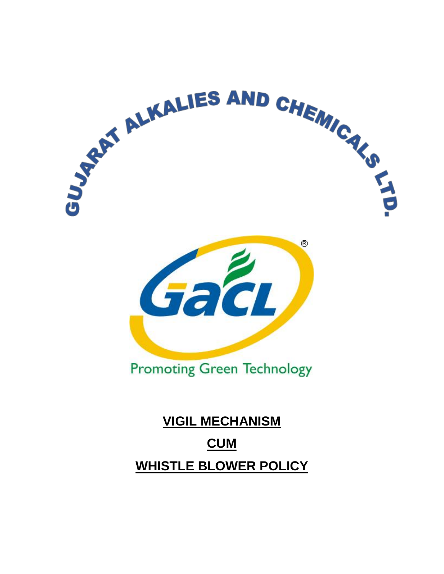

# **WHISTLE BLOWER POLICY**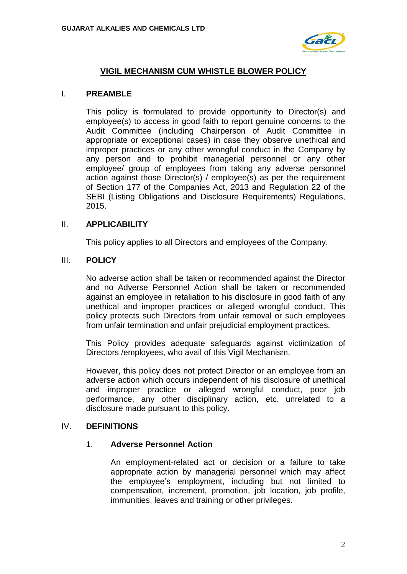

## **VIGIL MECHANISM CUM WHISTLE BLOWER POLICY**

#### I. **PREAMBLE**

This policy is formulated to provide opportunity to Director(s) and employee(s) to access in good faith to report genuine concerns to the Audit Committee (including Chairperson of Audit Committee in appropriate or exceptional cases) in case they observe unethical and improper practices or any other wrongful conduct in the Company by any person and to prohibit managerial personnel or any other employee/ group of employees from taking any adverse personnel action against those Director(s) / employee(s) as per the requirement of Section 177 of the Companies Act, 2013 and Regulation 22 of the SEBI (Listing Obligations and Disclosure Requirements) Regulations, 2015.

### II. **APPLICABILITY**

This policy applies to all Directors and employees of the Company.

#### III. **POLICY**

No adverse action shall be taken or recommended against the Director and no Adverse Personnel Action shall be taken or recommended against an employee in retaliation to his disclosure in good faith of any unethical and improper practices or alleged wrongful conduct. This policy protects such Directors from unfair removal or such employees from unfair termination and unfair prejudicial employment practices.

This Policy provides adequate safeguards against victimization of Directors /employees, who avail of this Vigil Mechanism.

However, this policy does not protect Director or an employee from an adverse action which occurs independent of his disclosure of unethical and improper practice or alleged wrongful conduct, poor job performance, any other disciplinary action, etc. unrelated to a disclosure made pursuant to this policy.

#### IV. **DEFINITIONS**

#### 1. **Adverse Personnel Action**

An employment-related act or decision or a failure to take appropriate action by managerial personnel which may affect the employee's employment, including but not limited to compensation, increment, promotion, job location, job profile, immunities, leaves and training or other privileges.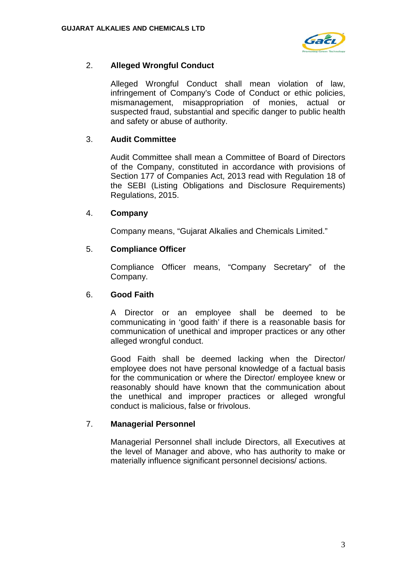

# 2. **Alleged Wrongful Conduct**

Alleged Wrongful Conduct shall mean violation of law, infringement of Company's Code of Conduct or ethic policies, mismanagement, misappropriation of monies, actual or suspected fraud, substantial and specific danger to public health and safety or abuse of authority.

## 3. **Audit Committee**

Audit Committee shall mean a Committee of Board of Directors of the Company, constituted in accordance with provisions of Section 177 of Companies Act, 2013 read with Regulation 18 of the SEBI (Listing Obligations and Disclosure Requirements) Regulations, 2015.

## 4. **Company**

Company means, "Gujarat Alkalies and Chemicals Limited."

## 5. **Compliance Officer**

Compliance Officer means, "Company Secretary" of the Company.

## 6. **Good Faith**

A Director or an employee shall be deemed to be communicating in 'good faith' if there is a reasonable basis for communication of unethical and improper practices or any other alleged wrongful conduct.

Good Faith shall be deemed lacking when the Director/ employee does not have personal knowledge of a factual basis for the communication or where the Director/ employee knew or reasonably should have known that the communication about the unethical and improper practices or alleged wrongful conduct is malicious, false or frivolous.

## 7. **Managerial Personnel**

Managerial Personnel shall include Directors, all Executives at the level of Manager and above, who has authority to make or materially influence significant personnel decisions/ actions.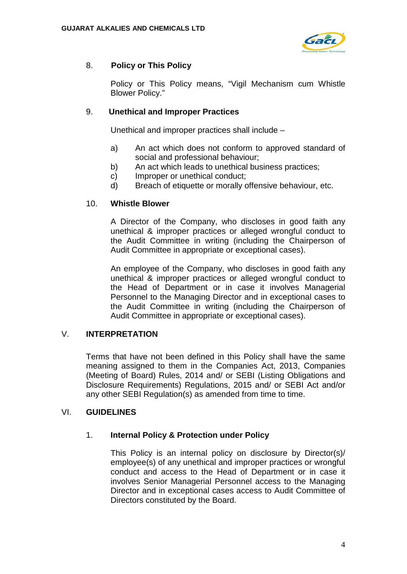

# 8. **Policy or This Policy**

Policy or This Policy means, "Vigil Mechanism cum Whistle Blower Policy."

# 9. **Unethical and Improper Practices**

Unethical and improper practices shall include –

- a) An act which does not conform to approved standard of social and professional behaviour;
- b) An act which leads to unethical business practices;
- c) Improper or unethical conduct;
- d) Breach of etiquette or morally offensive behaviour, etc.

## 10. **Whistle Blower**

A Director of the Company, who discloses in good faith any unethical & improper practices or alleged wrongful conduct to the Audit Committee in writing (including the Chairperson of Audit Committee in appropriate or exceptional cases).

An employee of the Company, who discloses in good faith any unethical & improper practices or alleged wrongful conduct to the Head of Department or in case it involves Managerial Personnel to the Managing Director and in exceptional cases to the Audit Committee in writing (including the Chairperson of Audit Committee in appropriate or exceptional cases).

# V. **INTERPRETATION**

Terms that have not been defined in this Policy shall have the same meaning assigned to them in the Companies Act, 2013, Companies (Meeting of Board) Rules, 2014 and/ or SEBI (Listing Obligations and Disclosure Requirements) Regulations, 2015 and/ or SEBI Act and/or any other SEBI Regulation(s) as amended from time to time.

## VI. **GUIDELINES**

## 1. **Internal Policy & Protection under Policy**

This Policy is an internal policy on disclosure by Director(s)/ employee(s) of any unethical and improper practices or wrongful conduct and access to the Head of Department or in case it involves Senior Managerial Personnel access to the Managing Director and in exceptional cases access to Audit Committee of Directors constituted by the Board.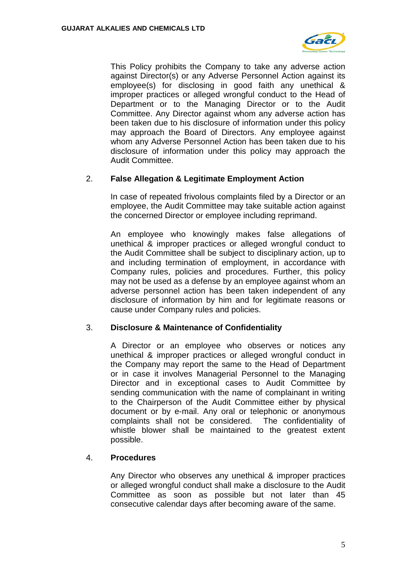

This Policy prohibits the Company to take any adverse action against Director(s) or any Adverse Personnel Action against its employee(s) for disclosing in good faith any unethical & improper practices or alleged wrongful conduct to the Head of Department or to the Managing Director or to the Audit Committee. Any Director against whom any adverse action has been taken due to his disclosure of information under this policy may approach the Board of Directors. Any employee against whom any Adverse Personnel Action has been taken due to his disclosure of information under this policy may approach the Audit Committee.

## 2. **False Allegation & Legitimate Employment Action**

In case of repeated frivolous complaints filed by a Director or an employee, the Audit Committee may take suitable action against the concerned Director or employee including reprimand.

An employee who knowingly makes false allegations of unethical & improper practices or alleged wrongful conduct to the Audit Committee shall be subject to disciplinary action, up to and including termination of employment, in accordance with Company rules, policies and procedures. Further, this policy may not be used as a defense by an employee against whom an adverse personnel action has been taken independent of any disclosure of information by him and for legitimate reasons or cause under Company rules and policies.

## 3. **Disclosure & Maintenance of Confidentiality**

A Director or an employee who observes or notices any unethical & improper practices or alleged wrongful conduct in the Company may report the same to the Head of Department or in case it involves Managerial Personnel to the Managing Director and in exceptional cases to Audit Committee by sending communication with the name of complainant in writing to the Chairperson of the Audit Committee either by physical document or by e-mail. Any oral or telephonic or anonymous complaints shall not be considered. The confidentiality of whistle blower shall be maintained to the greatest extent possible.

## 4. **Procedures**

Any Director who observes any unethical & improper practices or alleged wrongful conduct shall make a disclosure to the Audit Committee as soon as possible but not later than 45 consecutive calendar days after becoming aware of the same.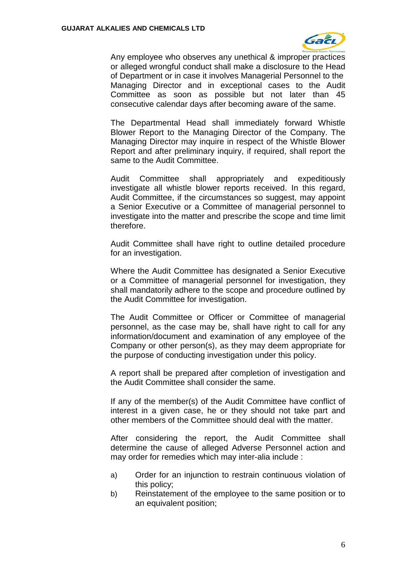

Any employee who observes any unethical & improper practices or alleged wrongful conduct shall make a disclosure to the Head of Department or in case it involves Managerial Personnel to the Managing Director and in exceptional cases to the Audit Committee as soon as possible but not later than 45 consecutive calendar days after becoming aware of the same.

The Departmental Head shall immediately forward Whistle Blower Report to the Managing Director of the Company. The Managing Director may inquire in respect of the Whistle Blower Report and after preliminary inquiry, if required, shall report the same to the Audit Committee.

Audit Committee shall appropriately and expeditiously investigate all whistle blower reports received. In this regard, Audit Committee, if the circumstances so suggest, may appoint a Senior Executive or a Committee of managerial personnel to investigate into the matter and prescribe the scope and time limit therefore.

Audit Committee shall have right to outline detailed procedure for an investigation.

Where the Audit Committee has designated a Senior Executive or a Committee of managerial personnel for investigation, they shall mandatorily adhere to the scope and procedure outlined by the Audit Committee for investigation.

The Audit Committee or Officer or Committee of managerial personnel, as the case may be, shall have right to call for any information/document and examination of any employee of the Company or other person(s), as they may deem appropriate for the purpose of conducting investigation under this policy.

A report shall be prepared after completion of investigation and the Audit Committee shall consider the same.

If any of the member(s) of the Audit Committee have conflict of interest in a given case, he or they should not take part and other members of the Committee should deal with the matter.

After considering the report, the Audit Committee shall determine the cause of alleged Adverse Personnel action and may order for remedies which may inter-alia include :

- a) Order for an injunction to restrain continuous violation of this policy;
- b) Reinstatement of the employee to the same position or to an equivalent position;